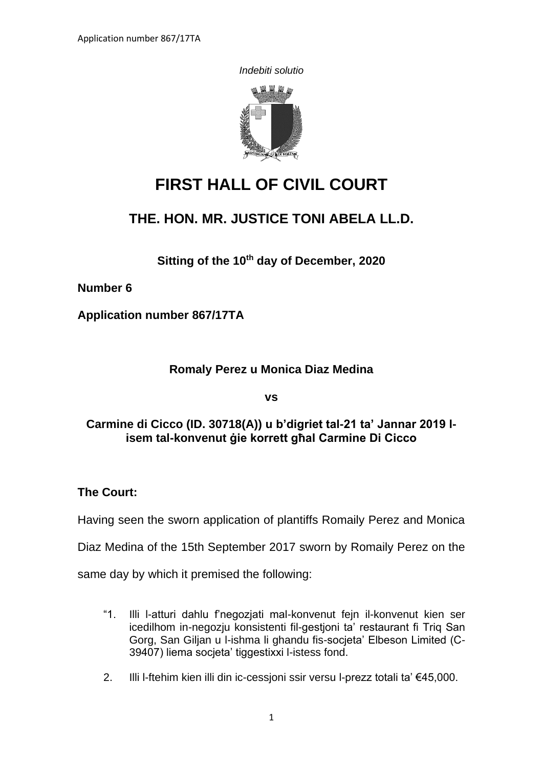*Indebiti solutio*



# **FIRST HALL OF CIVIL COURT**

## **THE. HON. MR. JUSTICE TONI ABELA LL.D.**

**Sitting of the 10th day of December, 2020**

**Number 6**

**Application number 867/17TA**

## **Romaly Perez u Monica Diaz Medina**

**vs**

## **Carmine di Cicco (ID. 30718(A)) u b'digriet tal-21 ta' Jannar 2019 lisem tal-konvenut ġie korrett għal Carmine Di Cicco**

**The Court:**

Having seen the sworn application of plantiffs Romaily Perez and Monica

Diaz Medina of the 15th September 2017 sworn by Romaily Perez on the

same day by which it premised the following:

- "1. Illi l-atturi dahlu f'negozjati mal-konvenut fejn il-konvenut kien ser icedilhom in-negozju konsistenti fil-gestjoni ta' restaurant fi Triq San Gorg, San Giljan u l-ishma li ghandu fis-socjeta' Elbeson Limited (C-39407) liema socjeta' tiggestixxi l-istess fond.
- 2. Illi l-ftehim kien illi din ic-cessjoni ssir versu l-prezz totali ta' €45,000.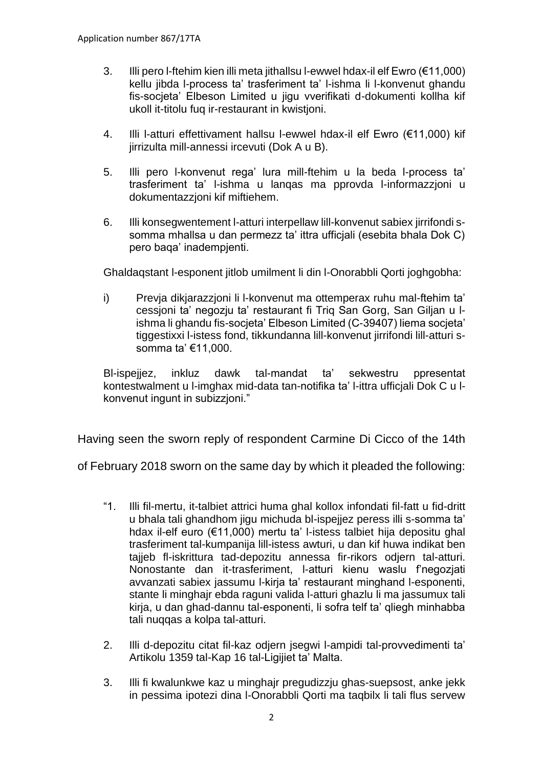- 3. Illi pero l-ftehim kien illi meta jithallsu l-ewwel hdax-il elf Ewro (€11,000) kellu jibda l-process ta' trasferiment ta' l-ishma li l-konvenut ghandu fis-socjeta' Elbeson Limited u jigu vverifikati d-dokumenti kollha kif ukoll it-titolu fuq ir-restaurant in kwistjoni.
- 4. Illi l-atturi effettivament hallsu l-ewwel hdax-il elf Ewro (€11,000) kif jirrizulta mill-annessi ircevuti (Dok A u B).
- 5. Illi pero l-konvenut rega' lura mill-ftehim u la beda l-process ta' trasferiment ta' l-ishma u lanqas ma pprovda l-informazzjoni u dokumentazzjoni kif miftiehem.
- 6. Illi konsegwentement l-atturi interpellaw lill-konvenut sabiex jirrifondi ssomma mhallsa u dan permezz ta' ittra ufficjali (esebita bhala Dok C) pero baqa' inadempjenti.

Ghaldaqstant l-esponent jitlob umilment li din l-Onorabbli Qorti joghgobha:

i) Prevja dikjarazzjoni li l-konvenut ma ottemperax ruhu mal-ftehim ta' cessjoni ta' negozju ta' restaurant fi Triq San Gorg, San Giljan u lishma li ghandu fis-socjeta' Elbeson Limited (C-39407) liema socjeta' tiggestixxi l-istess fond, tikkundanna lill-konvenut jirrifondi lill-atturi ssomma ta' €11,000.

Bl-ispejjez, inkluz dawk tal-mandat ta' sekwestru ppresentat kontestwalment u l-imghax mid-data tan-notifika ta' l-ittra ufficjali Dok C u lkonvenut ingunt in subizzjoni."

Having seen the sworn reply of respondent Carmine Di Cicco of the 14th

of February 2018 sworn on the same day by which it pleaded the following:

- "1. Illi fil-mertu, it-talbiet attrici huma ghal kollox infondati fil-fatt u fid-dritt u bhala tali ghandhom jigu michuda bl-ispejjez peress illi s-somma ta' hdax il-elf euro (€11,000) mertu ta' l-istess talbiet hija depositu ghal trasferiment tal-kumpanija lill-istess awturi, u dan kif huwa indikat ben tajjeb fl-iskrittura tad-depozitu annessa fir-rikors odjern tal-atturi. Nonostante dan it-trasferiment, l-atturi kienu waslu f'negozjati avvanzati sabiex jassumu l-kirja ta' restaurant minghand l-esponenti, stante li minghajr ebda raguni valida l-atturi ghazlu li ma jassumux tali kirja, u dan ghad-dannu tal-esponenti, li sofra telf ta' qliegh minhabba tali nuqqas a kolpa tal-atturi.
- 2. Illi d-depozitu citat fil-kaz odjern jsegwi l-ampidi tal-provvedimenti ta' Artikolu 1359 tal-Kap 16 tal-Ligijiet ta' Malta.
- 3. Illi fi kwalunkwe kaz u minghajr pregudizzju ghas-suepsost, anke jekk in pessima ipotezi dina l-Onorabbli Qorti ma taqbilx li tali flus servew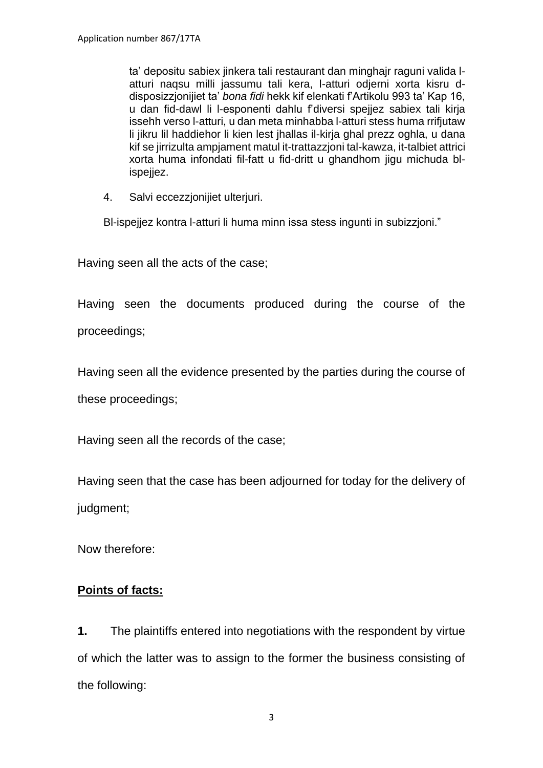ta' depositu sabiex jinkera tali restaurant dan minghajr raguni valida latturi naqsu milli jassumu tali kera, l-atturi odjerni xorta kisru ddisposizzjonijiet ta' *bona fidi* hekk kif elenkati f'Artikolu 993 ta' Kap 16, u dan fid-dawl li l-esponenti dahlu f'diversi spejjez sabiex tali kirja issehh verso l-atturi, u dan meta minhabba l-atturi stess huma rrifjutaw li jikru lil haddiehor li kien lest jhallas il-kirja ghal prezz oghla, u dana kif se jirrizulta ampjament matul it-trattazzjoni tal-kawza, it-talbiet attrici xorta huma infondati fil-fatt u fid-dritt u ghandhom jigu michuda blispejjez.

4. Salvi eccezzjonijiet ulterjuri.

Bl-ispejjez kontra l-atturi li huma minn issa stess ingunti in subizzjoni."

Having seen all the acts of the case;

Having seen the documents produced during the course of the proceedings;

Having seen all the evidence presented by the parties during the course of these proceedings;

Having seen all the records of the case;

Having seen that the case has been adjourned for today for the delivery of judgment;

Now therefore:

### **Points of facts:**

**1.** The plaintiffs entered into negotiations with the respondent by virtue of which the latter was to assign to the former the business consisting of the following: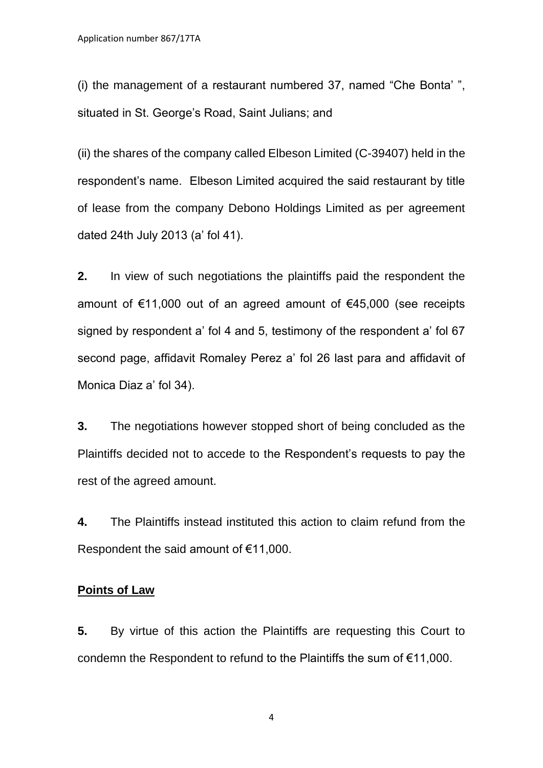(i) the management of a restaurant numbered 37, named "Che Bonta' ", situated in St. George's Road, Saint Julians; and

(ii) the shares of the company called Elbeson Limited (C-39407) held in the respondent's name. Elbeson Limited acquired the said restaurant by title of lease from the company Debono Holdings Limited as per agreement dated 24th July 2013 (a' fol 41).

**2.** In view of such negotiations the plaintiffs paid the respondent the amount of €11,000 out of an agreed amount of €45,000 (see receipts signed by respondent a' fol 4 and 5, testimony of the respondent a' fol 67 second page, affidavit Romaley Perez a' fol 26 last para and affidavit of Monica Diaz a' fol 34).

**3.** The negotiations however stopped short of being concluded as the Plaintiffs decided not to accede to the Respondent's requests to pay the rest of the agreed amount.

**4.** The Plaintiffs instead instituted this action to claim refund from the Respondent the said amount of €11,000.

#### **Points of Law**

**5.** By virtue of this action the Plaintiffs are requesting this Court to condemn the Respondent to refund to the Plaintiffs the sum of €11,000.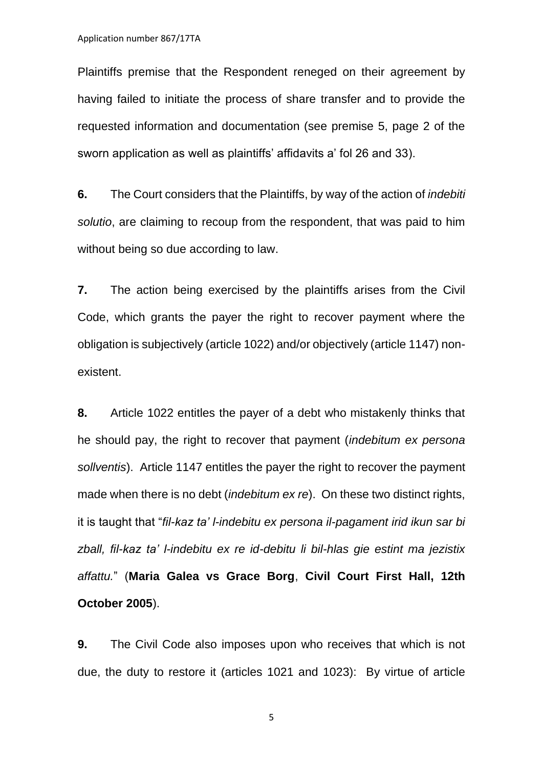Plaintiffs premise that the Respondent reneged on their agreement by having failed to initiate the process of share transfer and to provide the requested information and documentation (see premise 5, page 2 of the sworn application as well as plaintiffs' affidavits a' fol 26 and 33).

**6.** The Court considers that the Plaintiffs, by way of the action of *indebiti solutio*, are claiming to recoup from the respondent, that was paid to him without being so due according to law.

**7.** The action being exercised by the plaintiffs arises from the Civil Code, which grants the payer the right to recover payment where the obligation is subjectively (article 1022) and/or objectively (article 1147) nonexistent.

**8.** Article 1022 entitles the payer of a debt who mistakenly thinks that he should pay, the right to recover that payment (*indebitum ex persona sollventis*). Article 1147 entitles the payer the right to recover the payment made when there is no debt (*indebitum ex re*). On these two distinct rights, it is taught that "*fil-kaz ta' l-indebitu ex persona il-pagament irid ikun sar bi zball, fil-kaz ta' l-indebitu ex re id-debitu li bil-hlas gie estint ma jezistix affattu.*" (**Maria Galea vs Grace Borg**, **Civil Court First Hall, 12th October 2005**).

**9.** The Civil Code also imposes upon who receives that which is not due, the duty to restore it (articles 1021 and 1023): By virtue of article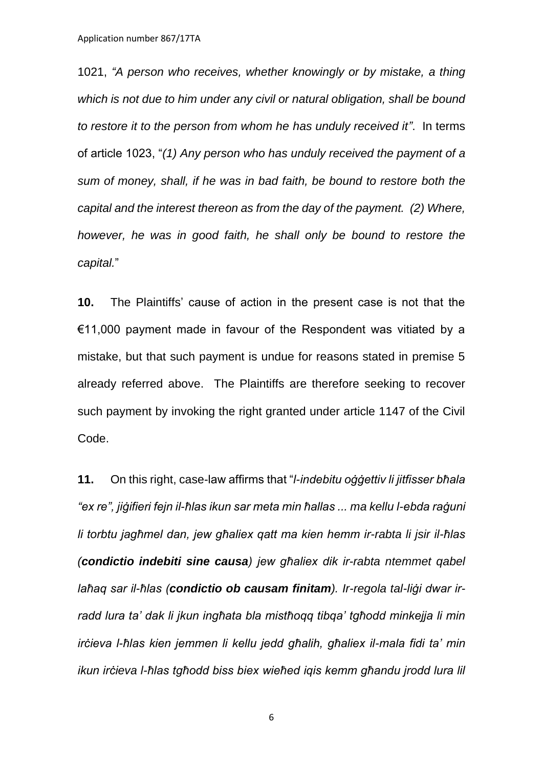1021, *"A person who receives, whether knowingly or by mistake, a thing which is not due to him under any civil or natural obligation, shall be bound to restore it to the person from whom he has unduly received it"*. In terms of article 1023, "*(1) Any person who has unduly received the payment of a sum of money, shall, if he was in bad faith, be bound to restore both the capital and the interest thereon as from the day of the payment. (2) Where, however, he was in good faith, he shall only be bound to restore the capital.*"

**10.** The Plaintiffs' cause of action in the present case is not that the €11,000 payment made in favour of the Respondent was vitiated by a mistake, but that such payment is undue for reasons stated in premise 5 already referred above. The Plaintiffs are therefore seeking to recover such payment by invoking the right granted under article 1147 of the Civil Code.

**11.** On this right, case-law affirms that "*l-indebitu oġġettiv li jitfisser bħala "ex re", jiġifieri fejn il-ħlas ikun sar meta min ħallas ... ma kellu l-ebda raġuni li torbtu jagħmel dan, jew għaliex qatt ma kien hemm ir-rabta li jsir il-ħlas (condictio indebiti sine causa) jew għaliex dik ir-rabta ntemmet qabel laħaq sar il-ħlas (condictio ob causam finitam). Ir-regola tal-liġi dwar irradd lura ta' dak li jkun ingħata bla mistħoqq tibqa' tgħodd minkejja li min irċieva l-ħlas kien jemmen li kellu jedd għalih, għaliex il-mala fidi ta' min ikun irċieva l-ħlas tgħodd biss biex wieħed iqis kemm għandu jrodd lura lil*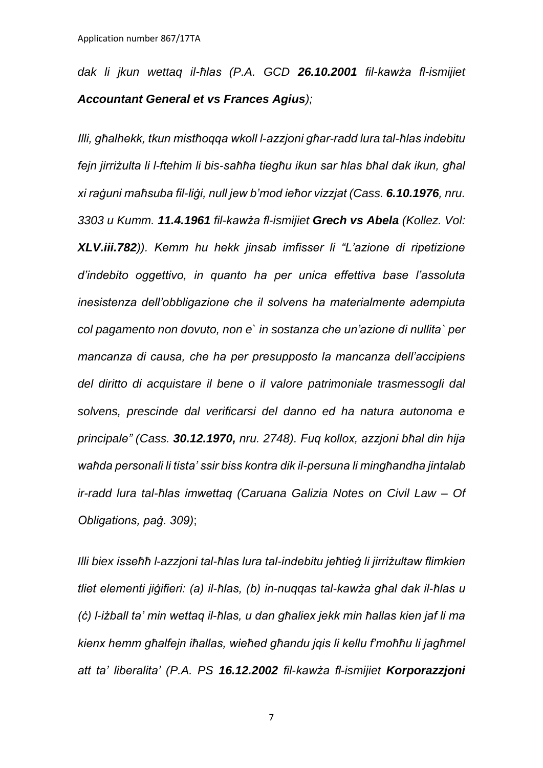*dak li jkun wettaq il-ħlas (P.A. GCD 26.10.2001 fil-kawża fl-ismijiet Accountant General et vs Frances Agius);*

*Illi, għalhekk, tkun mistħoqqa wkoll l-azzjoni għar-radd lura tal-ħlas indebitu fejn jirriżulta li l-ftehim li bis-saħħa tiegħu ikun sar ħlas bħal dak ikun, għal xi raġuni maħsuba fil-liġi, null jew b'mod ieħor vizzjat (Cass. 6.10.1976, nru. 3303 u Kumm. 11.4.1961 fil-kawża fl-ismijiet Grech vs Abela (Kollez. Vol: XLV.iii.782)). Kemm hu hekk jinsab imfisser li "L'azione di ripetizione d'indebito oggettivo, in quanto ha per unica effettiva base l'assoluta inesistenza dell'obbligazione che il solvens ha materialmente adempiuta col pagamento non dovuto, non e` in sostanza che un'azione di nullita` per mancanza di causa, che ha per presupposto la mancanza dell'accipiens del diritto di acquistare il bene o il valore patrimoniale trasmessogli dal solvens, prescinde dal verificarsi del danno ed ha natura autonoma e principale" (Cass. 30.12.1970, nru. 2748). Fuq kollox, azzjoni bħal din hija waħda personali li tista' ssir biss kontra dik il-persuna li mingħandha jintalab ir-radd lura tal-ħlas imwettaq (Caruana Galizia Notes on Civil Law – Of Obligations, paġ. 309)*;

*Illi biex isseħħ l-azzjoni tal-ħlas lura tal-indebitu jeħtieġ li jirriżultaw flimkien tliet elementi jiġifieri: (a) il-ħlas, (b) in-nuqqas tal-kawża għal dak il-ħlas u (ċ) l-iżball ta' min wettaq il-ħlas, u dan għaliex jekk min ħallas kien jaf li ma kienx hemm għalfejn iħallas, wieħed għandu jqis li kellu f'moħħu li jagħmel att ta' liberalita' (P.A. PS 16.12.2002 fil-kawża fl-ismijiet Korporazzjoni*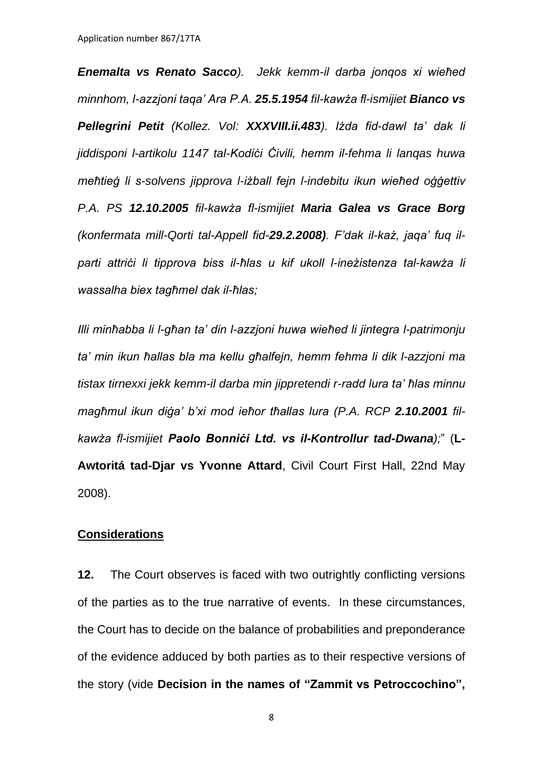*Enemalta vs Renato Sacco). Jekk kemm-il darba jonqos xi wieħed minnhom, l-azzjoni taqa' Ara P.A. 25.5.1954 fil-kawża fl-ismijiet Bianco vs Pellegrini Petit (Kollez. Vol: XXXVIII.ii.483). Iżda fid-dawl ta' dak li jiddisponi l-artikolu 1147 tal-Kodiċi Ċivili, hemm il-fehma li lanqas huwa meħtieġ li s-solvens jipprova l-iżball fejn l-indebitu ikun wieħed oġġettiv P.A. PS 12.10.2005 fil-kawża fl-ismijiet Maria Galea vs Grace Borg (konfermata mill-Qorti tal-Appell fid-29.2.2008). F'dak il-każ, jaqa' fuq ilparti attriċi li tipprova biss il-ħlas u kif ukoll l-ineżistenza tal-kawża li wassalha biex tagħmel dak il-ħlas;* 

*Illi minħabba li l-għan ta' din l-azzjoni huwa wieħed li jintegra l-patrimonju ta' min ikun ħallas bla ma kellu għalfejn, hemm fehma li dik l-azzjoni ma tistax tirnexxi jekk kemm-il darba min jippretendi r-radd lura ta' ħlas minnu magħmul ikun diġa' b'xi mod ieħor tħallas lura (P.A. RCP 2.10.2001 filkawża fl-ismijiet Paolo Bonniċi Ltd. vs il-Kontrollur tad-Dwana);*" (**L-Awtoritá tad-Djar vs Yvonne Attard**, Civil Court First Hall, 22nd May 2008).

#### **Considerations**

**12.** The Court observes is faced with two outrightly conflicting versions of the parties as to the true narrative of events. In these circumstances, the Court has to decide on the balance of probabilities and preponderance of the evidence adduced by both parties as to their respective versions of the story (vide **Decision in the names of "Zammit vs Petroccochino",**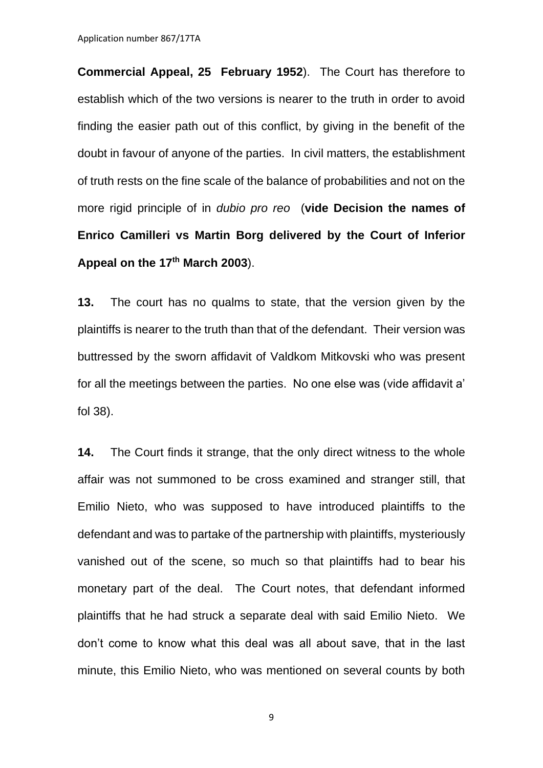Application number 867/17TA

**Commercial Appeal, 25 February 1952**). The Court has therefore to establish which of the two versions is nearer to the truth in order to avoid finding the easier path out of this conflict, by giving in the benefit of the doubt in favour of anyone of the parties. In civil matters, the establishment of truth rests on the fine scale of the balance of probabilities and not on the more rigid principle of in *dubio pro reo* (**vide Decision the names of Enrico Camilleri vs Martin Borg delivered by the Court of Inferior Appeal on the 17th March 2003**).

**13.** The court has no qualms to state, that the version given by the plaintiffs is nearer to the truth than that of the defendant. Their version was buttressed by the sworn affidavit of Valdkom Mitkovski who was present for all the meetings between the parties. No one else was (vide affidavit a' fol 38).

**14.** The Court finds it strange, that the only direct witness to the whole affair was not summoned to be cross examined and stranger still, that Emilio Nieto, who was supposed to have introduced plaintiffs to the defendant and was to partake of the partnership with plaintiffs, mysteriously vanished out of the scene, so much so that plaintiffs had to bear his monetary part of the deal. The Court notes, that defendant informed plaintiffs that he had struck a separate deal with said Emilio Nieto. We don't come to know what this deal was all about save, that in the last minute, this Emilio Nieto, who was mentioned on several counts by both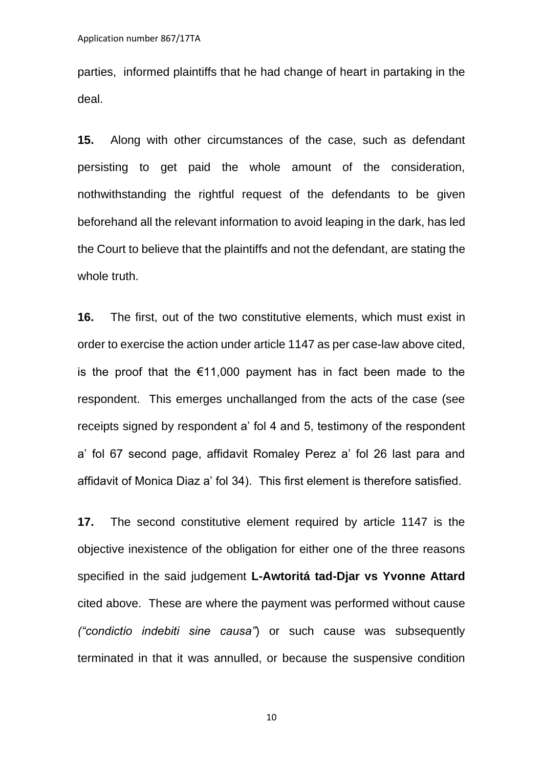parties, informed plaintiffs that he had change of heart in partaking in the deal.

**15.** Along with other circumstances of the case, such as defendant persisting to get paid the whole amount of the consideration, nothwithstanding the rightful request of the defendants to be given beforehand all the relevant information to avoid leaping in the dark, has led the Court to believe that the plaintiffs and not the defendant, are stating the whole truth.

**16.** The first, out of the two constitutive elements, which must exist in order to exercise the action under article 1147 as per case-law above cited, is the proof that the €11,000 payment has in fact been made to the respondent. This emerges unchallanged from the acts of the case (see receipts signed by respondent a' fol 4 and 5, testimony of the respondent a' fol 67 second page, affidavit Romaley Perez a' fol 26 last para and affidavit of Monica Diaz a' fol 34). This first element is therefore satisfied.

**17.** The second constitutive element required by article 1147 is the objective inexistence of the obligation for either one of the three reasons specified in the said judgement **L-Awtoritá tad-Djar vs Yvonne Attard** cited above. These are where the payment was performed without cause *("condictio indebiti sine causa"*) or such cause was subsequently terminated in that it was annulled, or because the suspensive condition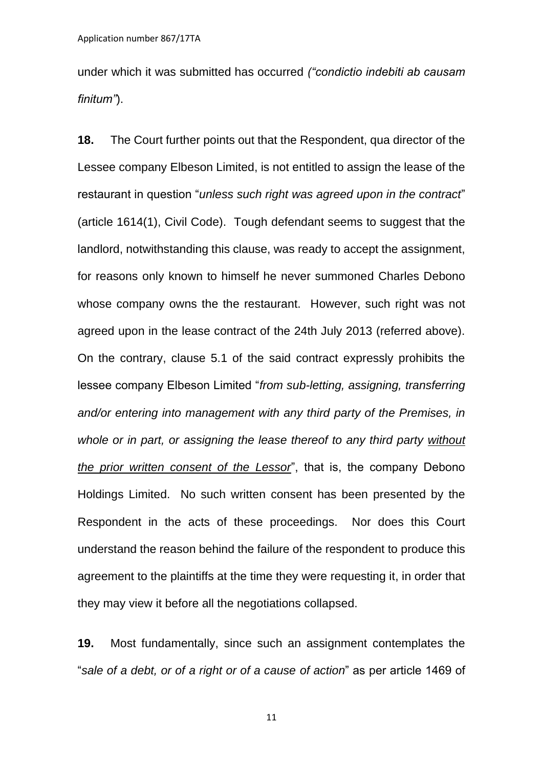under which it was submitted has occurred *("condictio indebiti ab causam finitum"*).

**18.** The Court further points out that the Respondent, qua director of the Lessee company Elbeson Limited, is not entitled to assign the lease of the restaurant in question "*unless such right was agreed upon in the contract*" (article 1614(1), Civil Code). Tough defendant seems to suggest that the landlord, notwithstanding this clause, was ready to accept the assignment, for reasons only known to himself he never summoned Charles Debono whose company owns the the restaurant. However, such right was not agreed upon in the lease contract of the 24th July 2013 (referred above). On the contrary, clause 5.1 of the said contract expressly prohibits the lessee company Elbeson Limited "*from sub-letting, assigning, transferring and/or entering into management with any third party of the Premises, in whole or in part, or assigning the lease thereof to any third party without the prior written consent of the Lessor*", that is, the company Debono Holdings Limited. No such written consent has been presented by the Respondent in the acts of these proceedings. Nor does this Court understand the reason behind the failure of the respondent to produce this agreement to the plaintiffs at the time they were requesting it, in order that they may view it before all the negotiations collapsed.

**19.** Most fundamentally, since such an assignment contemplates the "*sale of a debt, or of a right or of a cause of action*" as per article 1469 of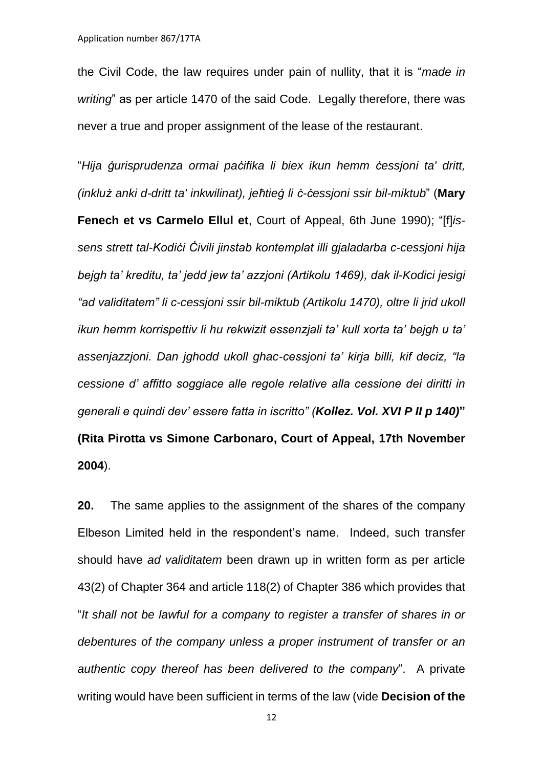the Civil Code, the law requires under pain of nullity, that it is "*made in writing*" as per article 1470 of the said Code. Legally therefore, there was never a true and proper assignment of the lease of the restaurant.

"*Hija ġurisprudenza ormai paċifika li biex ikun hemm ċessjoni ta' dritt, (inkluż anki d-dritt ta' inkwilinat), jeħtieġ li ċ-ċessjoni ssir bil-miktub*" (**Mary Fenech et vs Carmelo Ellul et**, Court of Appeal, 6th June 1990); "[f]*issens strett tal-Kodiċi Ċivili jinstab kontemplat illi gjaladarba c-cessjoni hija bejgh ta' kreditu, ta' jedd jew ta' azzjoni (Artikolu 1469), dak il-Kodici jesigi "ad validitatem" li c-cessjoni ssir bil-miktub (Artikolu 1470), oltre li jrid ukoll ikun hemm korrispettiv li hu rekwizit essenzjali ta' kull xorta ta' bejgh u ta' assenjazzjoni. Dan jghodd ukoll ghac-cessjoni ta' kirja billi, kif deciz, "la cessione d' affitto soggiace alle regole relative alla cessione dei diritti in generali e quindi dev' essere fatta in iscritto" (Kollez. Vol. XVI P II p 140)***" (Rita Pirotta vs Simone Carbonaro, Court of Appeal, 17th November 2004**).

**20.** The same applies to the assignment of the shares of the company Elbeson Limited held in the respondent's name. Indeed, such transfer should have *ad validitatem* been drawn up in written form as per article 43(2) of Chapter 364 and article 118(2) of Chapter 386 which provides that "*It shall not be lawful for a company to register a transfer of shares in or debentures of the company unless a proper instrument of transfer or an authentic copy thereof has been delivered to the company*". A private writing would have been sufficient in terms of the law (vide **Decision of the**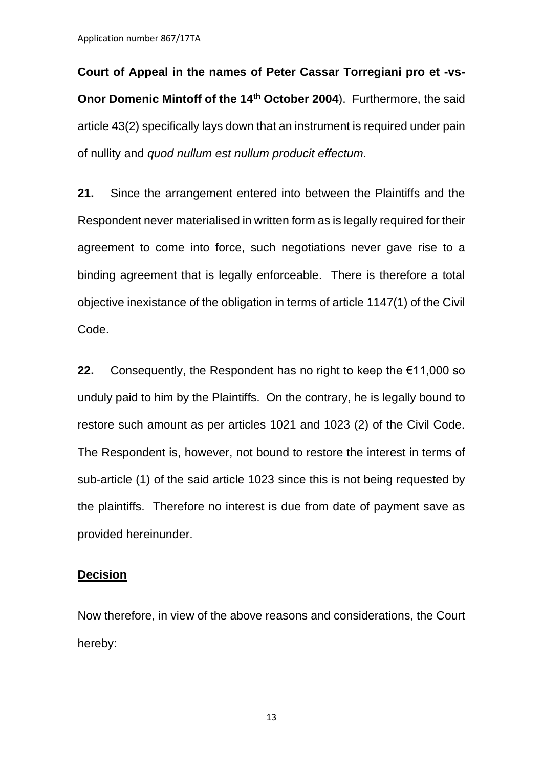Application number 867/17TA

**Court of Appeal in the names of Peter Cassar Torregiani pro et -vs-Onor Domenic Mintoff of the 14th October 2004**). Furthermore, the said article 43(2) specifically lays down that an instrument is required under pain of nullity and *quod nullum est nullum producit effectum.* 

**21.** Since the arrangement entered into between the Plaintiffs and the Respondent never materialised in written form as is legally required for their agreement to come into force, such negotiations never gave rise to a binding agreement that is legally enforceable. There is therefore a total objective inexistance of the obligation in terms of article 1147(1) of the Civil Code.

**22.** Consequently, the Respondent has no right to keep the €11,000 so unduly paid to him by the Plaintiffs. On the contrary, he is legally bound to restore such amount as per articles 1021 and 1023 (2) of the Civil Code. The Respondent is, however, not bound to restore the interest in terms of sub-article (1) of the said article 1023 since this is not being requested by the plaintiffs. Therefore no interest is due from date of payment save as provided hereinunder.

#### **Decision**

Now therefore, in view of the above reasons and considerations, the Court hereby: